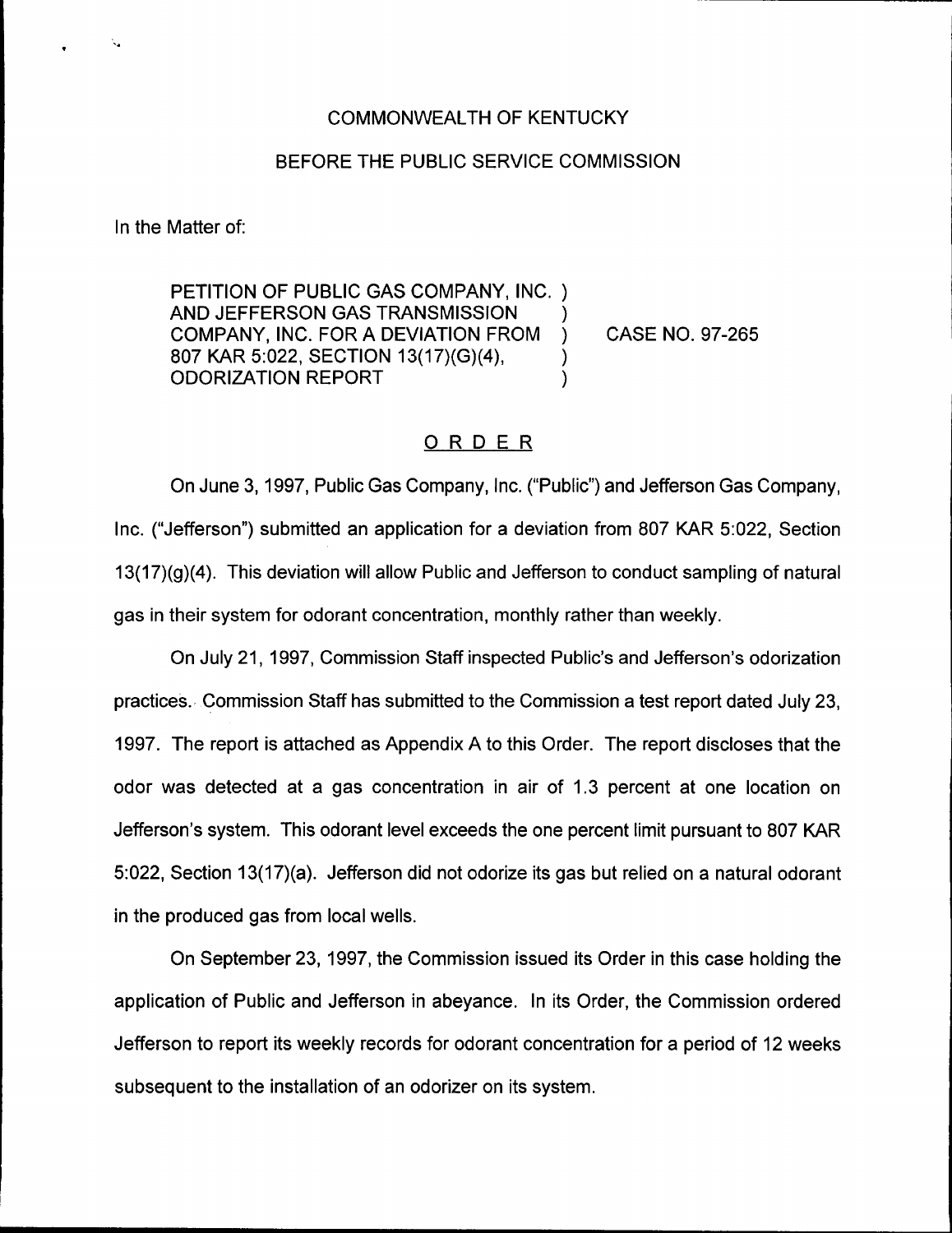## COMMONWEALTH OF KENTUCKY

## BEFORE THE PUBLIC SERVICE COMMISSION

In the Matter of:

PETITION OF PUBLIC GAS COMPANY, INC. ) AND JEFFERSON GAS TRANSMISSION )<br>COMPANY. INC. FOR A DEVIATION FROM ) COMPANY, INC. FOR A DEVIATION FROM ) 807 KAR 5:022, SECTION 13(1?}(G)(4), ) ODORIZATION REPORT )

CASE NO. 97-265

# ORDER

On June 3, 1997, Public Gas Company, Inc. ("Public"} and Jefferson Gas Company, Inc. ("Jefferson") submitted an application for a deviation from 807 KAR 5:022, Sectior 13(17)(g)(4). This deviation will allow Public and Jefferson to conduct sampling of natural gas in their system for odorant concentration, monthly rather than weekly.

On July 21, 1997, Commission Staff inspected Public's and Jefferson's odorization practices. Commission Staff has submitted to the Commission a test report dated July 23, 1997. The report is attached as Appendix A to this Order. The report discloses that the odor was detected at a gas concentration in air of 1.3 percent at one location on Jefferson's system. This odorant level exceeds the one percent limit pursuant to 807 KAR 5:022, Section 13(17)(a). Jefferson did not odorize its gas but relied on a natural odorant in the produced gas from local wells.

On September 23, 1997, the Commission issued its Order in this case holding the application of Public and Jefferson in abeyance. In its Order, the Commission ordered Jefferson to report its weekly records for odorant concentration for a period of 12 weeks subsequent to the installation of an odorizer on its system.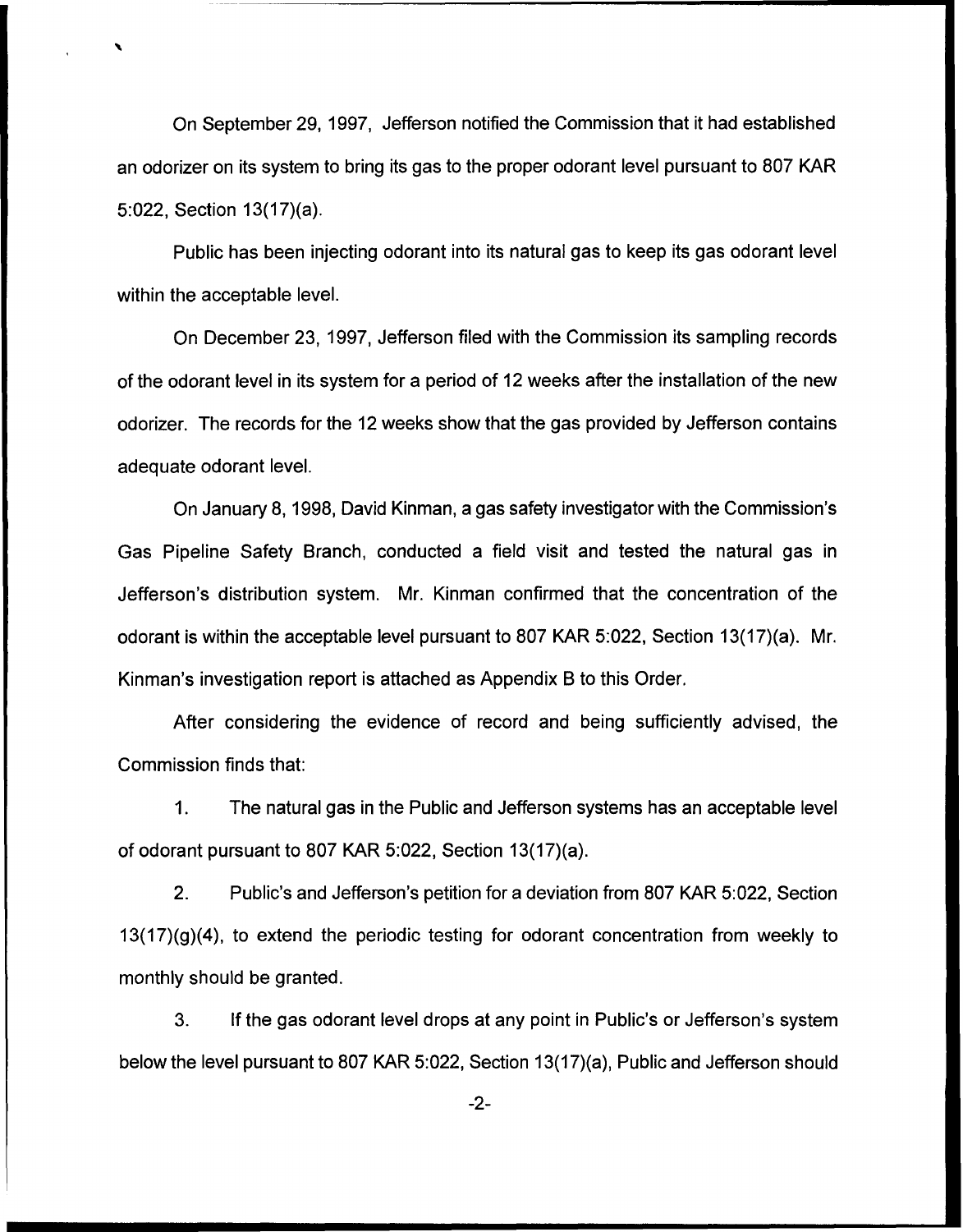On September 29, 1997, Jefferson notified the Commission that it had established an odorizer on its system to bring its gas to the proper odorant level pursuant to 807 KAR 5:022, Section 13(17)(a).

Public has been injecting odorant into its natural gas to keep its gas odorant level within the acceptable level.

On December 23, 1997, Jefferson filed with the Commission its sampling records of the odorant level in its system for a period of 12 weeks after the installation of the new odorizer. The records for the 12 weeks show that the gas provided by Jefferson contains adequate odorant level.

On January 8, 1998, David Kinman, a gas safety investigator with the Commission's Gas Pipeline Safety Branch, conducted a field visit and tested the natural gas in Jefferson's distribution system. Mr. Kinman confirmed that the concentration of the odorant is within the acceptable level pursuant to 807 KAR 5:022, Section 13(17)(a). Mr. Kinman's investigation report is attached as Appendix B to this Order.

After considering the evidence of record and being sufficiently advised, the Commission finds that:

1. The natural gas in the Public and Jefferson systems has an acceptable level of odorant pursuant to 807 KAR 5:022, Section 13(17)(a).

2. Public's and Jefferson's petition for a deviation from 807 KAR 5:022, Section  $13(17)(g)(4)$ , to extend the periodic testing for odorant concentration from weekly to monthly should be granted.

3. If the gas odorant level drops at any point in Public's or Jefferson's system below the level pursuant to 807 KAR 5:022, Section 13(17)(a), Public and Jefferson should

-2-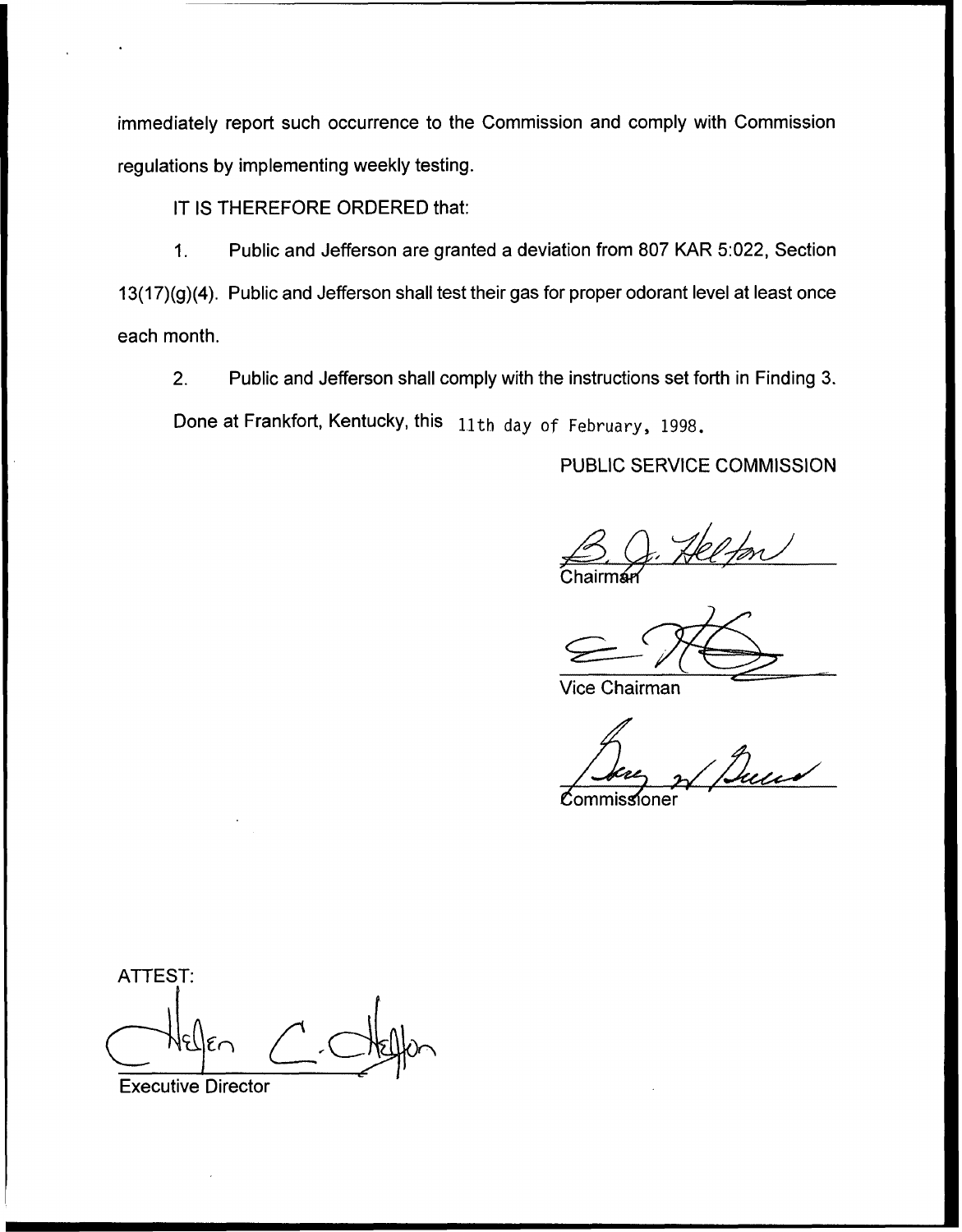immediately report such occurrence to the Commission and comply with Commission regulations by implementing weekly testing.

IT IS THEREFORE ORDERED that:

Public and Jefferson are granted a deviation from 807 KAR 5:022, Section  $1<sub>1</sub>$ 13(17)(g)(4). Public and Jefferson shall test their gas for proper odorant level at least once each month.

Public and Jefferson shall comply with the instructions set forth in Finding 3.  $2.$ Done at Frankfort, Kentucky, this 11th day of February, 1998.

PUBLIC SERVICE COMMISSION

<mark>Chairmár</mark>

Vice Chairman

Commissioner

ATTEST:

Executive Director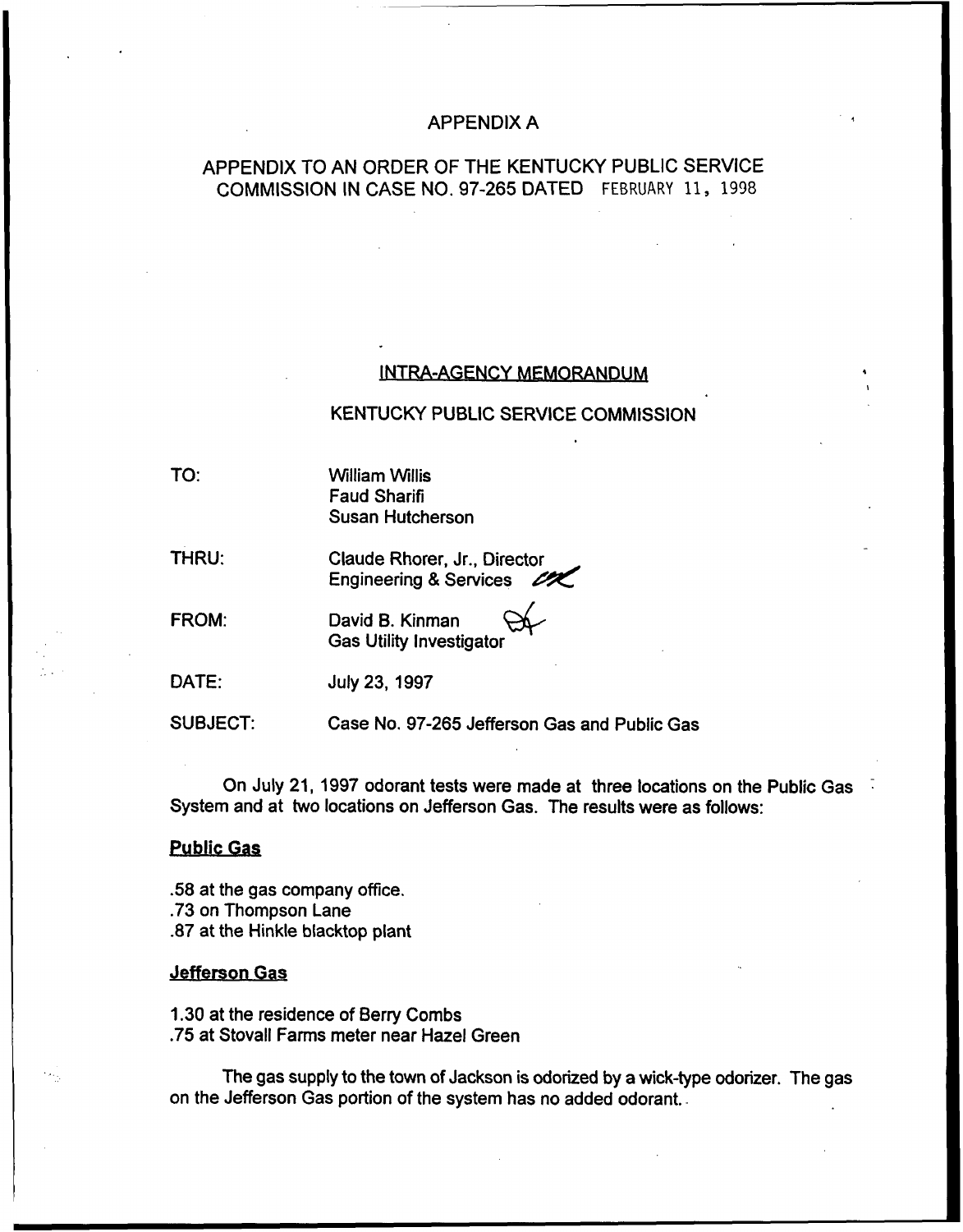## APPENDIX A

# APPENDIX TO AN ORDER OF THE KENTUCKY PUBLIC SERVICE COMMISSION IN CASE NO. 97-265 DATED FFBRUARV 11, 1998

### INTRA-AGENCY MEMORANDUM

### KENTUCKY PUBLIC SERVICE COMMISSION

TO:

William Willis Faud Sharifi Susan Hutcherson

THRU:

Claude Rhorer, Jr., Director Engineering & Services 2

FROM:

David B. Kinman Gas Utility Investigator

DATE: July 23, 1997

SUBJECT: Case No. 97-265 Jefferson Gas and Public Gas

On July 21, 1997 odorant tests were made at three locations on the Public Gas System and at two locations on Jefferson Gas. The results were as follows:

## Public Gas

.58 at the gas company office. .73 on Thompson Lane .87 at the Hinkle blacktop plant

### Jefferson Gas

1.30 at the residence of Berry Combs .75 at Stovall Farms meter near Hazel Green

The gas supply to the town of Jackson is odorized by a wick-type odorizer. The gas on the Jefferson Gas portion of the system has no added odorant..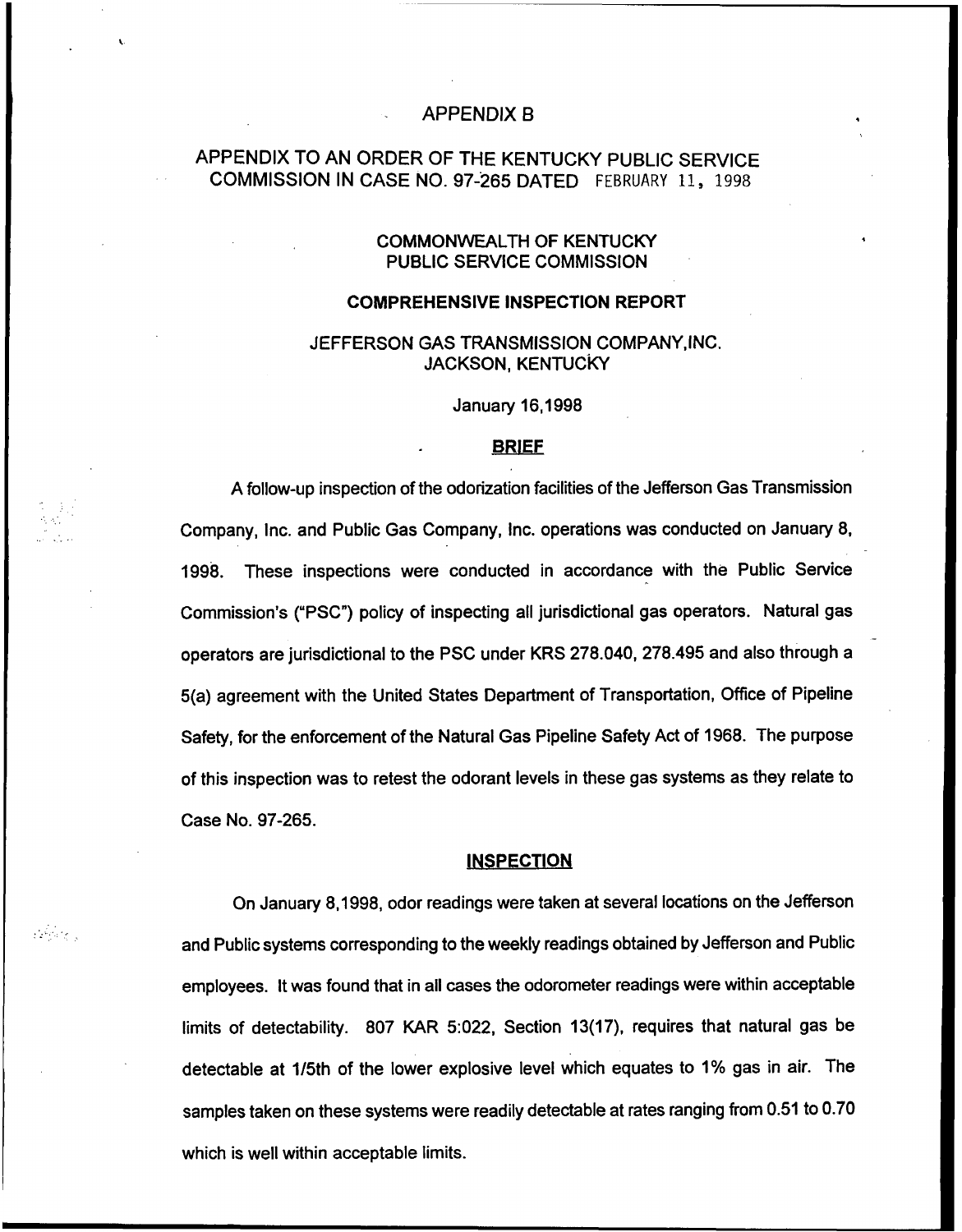## APPENDIX B

# APPENDIX TO AN ORDER OF THE KENTUCKY PUBLIC SERVICE COMMISSION IN CASE NO. 97-265 DATED FEBRUARY 11, 1998

## COMMONWEALTH OF KENTUCKY PUBLIC SERVICE COMMISSION

#### COMPREHENSIVE INSPECTION REPORT

## JEFFERSON GAS TRANSMISSION COMPANY,INC. JACKSON, KENTUCKY

January 16,1998

### BRIEF

A follow-up inspection of the odorization facilities of the Jefferson Gas Transmission Company, Inc. and Public Gas Company, Inc. operations was conducted on January 8, 1998. These inspections were conducted in accordance with the Public Service Commission's ("PSC") policy of inspecting all jurisdictional gas operators. Natural gas operators are jurisdictional to the PSC under KRS 278.040, 2?8.495 and also through a 5(a) agreement with the United States Department of Transportation, Office of Pipeline Safety, for the enforcement of the Natural Gas Pipeline Safety Act of 1968. The purpose of this inspection was to retest the odorant levels in these gas systems as they relate to Case No. 97-265.

#### **INSPECTION**

and and the second second the second second the second second the second second the second second the second second second second second second second second second second second second second second second second second s

On January 8,1998, odor readings were taken at several locations on the Jefferson and Public systems corresponding to the weekly readings obtained by Jefferson and Public employees. It was found that in all cases the odorometer readings were within acceptable limits of detectability. 807 KAR 5:022, Section 13(17), requires that natural gas be detectable at 1/5th of the lower explosive level which equates to 1% gas in air. The samples taken on these systems were readily detectable at rates ranging from 0.51 to 0.70 which is well within acceptable limits.